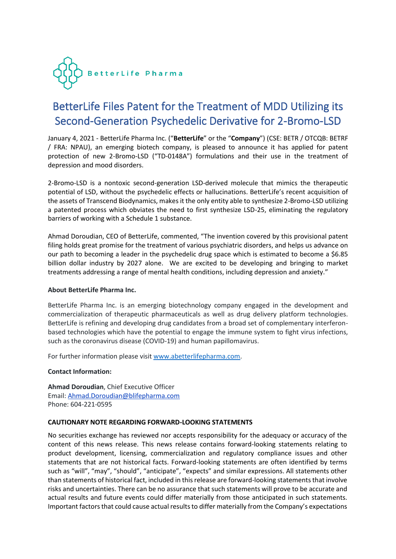

## BetterLife Files Patent for the Treatment of MDD Utilizing its Second-Generation Psychedelic Derivative for 2-Bromo-LSD

January 4, 2021 - BetterLife Pharma Inc. ("**BetterLife**" or the "**Company**") (CSE: BETR / OTCQB: BETRF / FRA: NPAU), an emerging biotech company, is pleased to announce it has applied for patent protection of new 2-Bromo-LSD ("TD-0148A") formulations and their use in the treatment of depression and mood disorders.

2-Bromo-LSD is a nontoxic second-generation LSD-derived molecule that mimics the therapeutic potential of LSD, without the psychedelic effects or hallucinations. BetterLife's recent acquisition of the assets of Transcend Biodynamics, makes it the only entity able to synthesize 2-Bromo-LSD utilizing a patented process which obviates the need to first synthesize LSD-25, eliminating the regulatory barriers of working with a Schedule 1 substance.

Ahmad Doroudian, CEO of BetterLife, commented, "The invention covered by this provisional patent filing holds great promise for the treatment of various psychiatric disorders, and helps us advance on our path to becoming a leader in the psychedelic drug space which is estimated to become a \$6.85 billion dollar industry by 2027 alone. We are excited to be developing and bringing to market treatments addressing a range of mental health conditions, including depression and anxiety."

## **About BetterLife Pharma Inc.**

BetterLife Pharma Inc. is an emerging biotechnology company engaged in the development and commercialization of therapeutic pharmaceuticals as well as drug delivery platform technologies. BetterLife is refining and developing drug candidates from a broad set of complementary interferonbased technologies which have the potential to engage the immune system to fight virus infections, such as the coronavirus disease (COVID-19) and human papillomavirus.

For further information please visit [www.abetterlifepharma.com.](file:///C:/Users/andre/AppData/Local/Temp/www.abetterlifepharma.com)

## **Contact Information:**

**Ahmad Doroudian**, Chief Executive Officer Email: [Ahmad.Doroudian@blifepharma.com](https://www.globenewswire.com/Tracker?data=C2h5AYESjPFb0lJvptMMD4taAKfKURtJh2xCP0H2auvasr6iRB11Wa35DWikAFDaS-9hgXdSmxqo1cLA2Km84Y77EiSNa3vKmUtztBB4BAqvjV6ZQT_kUxuqZkIC5ONT) Phone: 604-221-0595

## **CAUTIONARY NOTE REGARDING FORWARD-LOOKING STATEMENTS**

No securities exchange has reviewed nor accepts responsibility for the adequacy or accuracy of the content of this news release. This news release contains forward-looking statements relating to product development, licensing, commercialization and regulatory compliance issues and other statements that are not historical facts. Forward-looking statements are often identified by terms such as "will", "may", "should", "anticipate", "expects" and similar expressions. All statements other than statements of historical fact, included in this release are forward-looking statements that involve risks and uncertainties. There can be no assurance that such statements will prove to be accurate and actual results and future events could differ materially from those anticipated in such statements. Important factors that could cause actual results to differ materially from the Company's expectations